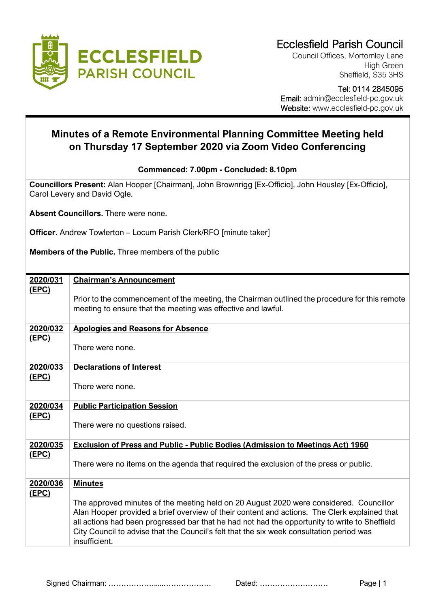

Council Offices, Mortomley Lane High Green Sheffield, S35 3HS

## Tel: 0114 2845095 Email: admin@ecclesfield-pc.gov.uk

Website: www.ecclesfield-pc.gov.uk

## **Minutes of a Remote Environmental Planning Committee Meeting held on Thursday 17 September 2020 via Zoom Video Conferencing**

## **Commenced: 7.00pm - Concluded: 8.10pm**

**Councillors Present:** Alan Hooper [Chairman], John Brownrigg [Ex-Officio], John Housley [Ex-Officio], Carol Levery and David Ogle.

**Absent Councillors.** There were none.

**Officer.** Andrew Towlerton – Locum Parish Clerk/RFO [minute taker]

**Members of the Public.** Three members of the public

| 2020/031                 | <b>Chairman's Announcement</b>                                                                                                                                                                                                                                                                                                                                                                       |
|--------------------------|------------------------------------------------------------------------------------------------------------------------------------------------------------------------------------------------------------------------------------------------------------------------------------------------------------------------------------------------------------------------------------------------------|
| <u>(EPC)</u>             | Prior to the commencement of the meeting, the Chairman outlined the procedure for this remote<br>meeting to ensure that the meeting was effective and lawful.                                                                                                                                                                                                                                        |
| 2020/032                 | <b>Apologies and Reasons for Absence</b>                                                                                                                                                                                                                                                                                                                                                             |
| <u>(EPC)</u>             | There were none.                                                                                                                                                                                                                                                                                                                                                                                     |
| 2020/033<br><u>(EPC)</u> | <b>Declarations of Interest</b>                                                                                                                                                                                                                                                                                                                                                                      |
|                          | There were none.                                                                                                                                                                                                                                                                                                                                                                                     |
| 2020/034                 | <b>Public Participation Session</b>                                                                                                                                                                                                                                                                                                                                                                  |
| (EPC)                    | There were no questions raised.                                                                                                                                                                                                                                                                                                                                                                      |
| 2020/035                 | <b>Exclusion of Press and Public - Public Bodies (Admission to Meetings Act) 1960</b>                                                                                                                                                                                                                                                                                                                |
| (EPC)                    | There were no items on the agenda that required the exclusion of the press or public.                                                                                                                                                                                                                                                                                                                |
| 2020/036<br>(EPC)        | <b>Minutes</b>                                                                                                                                                                                                                                                                                                                                                                                       |
|                          | The approved minutes of the meeting held on 20 August 2020 were considered. Councillor<br>Alan Hooper provided a brief overview of their content and actions. The Clerk explained that<br>all actions had been progressed bar that he had not had the opportunity to write to Sheffield<br>City Council to advise that the Council's felt that the six week consultation period was<br>insufficient. |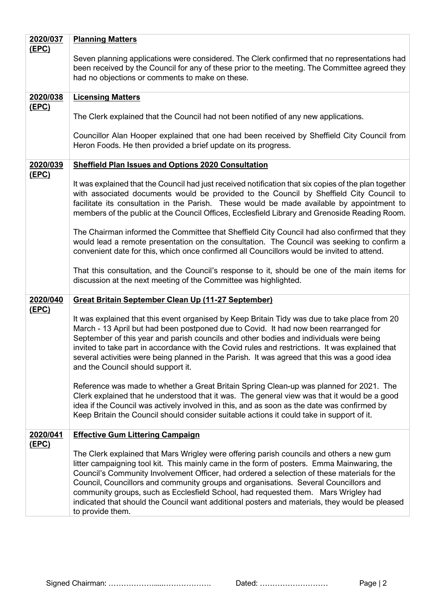| 2020/037     | <b>Planning Matters</b>                                                                                                                                                                                                                                                                                                                                                                                                                                                                                                                                                                   |
|--------------|-------------------------------------------------------------------------------------------------------------------------------------------------------------------------------------------------------------------------------------------------------------------------------------------------------------------------------------------------------------------------------------------------------------------------------------------------------------------------------------------------------------------------------------------------------------------------------------------|
| <u>(EPC)</u> | Seven planning applications were considered. The Clerk confirmed that no representations had<br>been received by the Council for any of these prior to the meeting. The Committee agreed they<br>had no objections or comments to make on these.                                                                                                                                                                                                                                                                                                                                          |
| 2020/038     | <b>Licensing Matters</b>                                                                                                                                                                                                                                                                                                                                                                                                                                                                                                                                                                  |
| <u>(EPC)</u> | The Clerk explained that the Council had not been notified of any new applications.                                                                                                                                                                                                                                                                                                                                                                                                                                                                                                       |
|              | Councillor Alan Hooper explained that one had been received by Sheffield City Council from<br>Heron Foods. He then provided a brief update on its progress.                                                                                                                                                                                                                                                                                                                                                                                                                               |
| 2020/039     | <b>Sheffield Plan Issues and Options 2020 Consultation</b>                                                                                                                                                                                                                                                                                                                                                                                                                                                                                                                                |
| <u>(EPC)</u> | It was explained that the Council had just received notification that six copies of the plan together<br>with associated documents would be provided to the Council by Sheffield City Council to<br>facilitate its consultation in the Parish. These would be made available by appointment to<br>members of the public at the Council Offices, Ecclesfield Library and Grenoside Reading Room.                                                                                                                                                                                           |
|              | The Chairman informed the Committee that Sheffield City Council had also confirmed that they<br>would lead a remote presentation on the consultation. The Council was seeking to confirm a<br>convenient date for this, which once confirmed all Councillors would be invited to attend.                                                                                                                                                                                                                                                                                                  |
|              | That this consultation, and the Council's response to it, should be one of the main items for<br>discussion at the next meeting of the Committee was highlighted.                                                                                                                                                                                                                                                                                                                                                                                                                         |
| 2020/040     | <b>Great Britain September Clean Up (11-27 September)</b>                                                                                                                                                                                                                                                                                                                                                                                                                                                                                                                                 |
| <u>(EPC)</u> | It was explained that this event organised by Keep Britain Tidy was due to take place from 20<br>March - 13 April but had been postponed due to Covid. It had now been rearranged for<br>September of this year and parish councils and other bodies and individuals were being<br>invited to take part in accordance with the Covid rules and restrictions. It was explained that<br>several activities were being planned in the Parish. It was agreed that this was a good idea<br>and the Council should support it.                                                                  |
|              | Reference was made to whether a Great Britain Spring Clean-up was planned for 2021. The<br>Clerk explained that he understood that it was. The general view was that it would be a good<br>idea if the Council was actively involved in this, and as soon as the date was confirmed by<br>Keep Britain the Council should consider suitable actions it could take in support of it.                                                                                                                                                                                                       |
| 2020/041     | <b>Effective Gum Littering Campaign</b>                                                                                                                                                                                                                                                                                                                                                                                                                                                                                                                                                   |
| <u>(EPC)</u> | The Clerk explained that Mars Wrigley were offering parish councils and others a new gum<br>litter campaigning tool kit. This mainly came in the form of posters. Emma Mainwaring, the<br>Council's Community Involvement Officer, had ordered a selection of these materials for the<br>Council, Councillors and community groups and organisations. Several Councillors and<br>community groups, such as Ecclesfield School, had requested them. Mars Wrigley had<br>indicated that should the Council want additional posters and materials, they would be pleased<br>to provide them. |